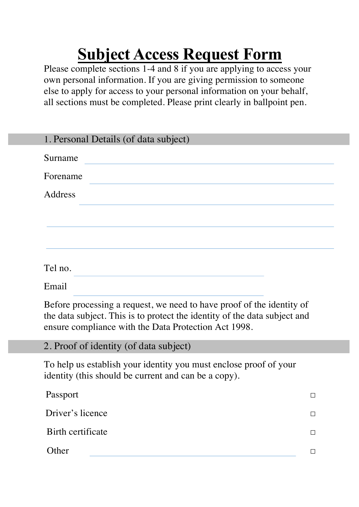## **Subject Access Request Form**

Please complete sections 1-4 and 8 if you are applying to access your own personal information. If you are giving permission to someone else to apply for access to your personal information on your behalf, all sections must be completed. Please print clearly in ballpoint pen.

| 1. Personal Details (of data subject) |
|---------------------------------------|
| Surname                               |
| Forename                              |
| Address                               |
|                                       |
|                                       |
| Tel no.                               |
| Email                                 |

Before processing a request, we need to have proof of the identity of the data subject. This is to protect the identity of the data subject and ensure compliance with the Data Protection Act 1998.

2. Proof of identity (of data subject)

To help us establish your identity you must enclose proof of your identity (this should be current and can be a copy).

| Passport          | П |
|-------------------|---|
| Driver's licence  | П |
| Birth certificate |   |
| Other             |   |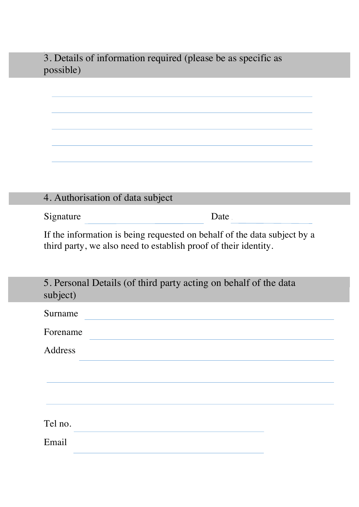3. Details of information required (please be as specific as possible)

| 4. Authorisation of data subject |      |
|----------------------------------|------|
| Signature                        | Date |

If the information is being requested on behalf of the data subject by a third party, we also need to establish proof of their identity.

| 5. Personal Details (of third party acting on behalf of the data<br>subject) |
|------------------------------------------------------------------------------|
| Surname                                                                      |
| Forename                                                                     |
| Address                                                                      |
|                                                                              |
|                                                                              |
|                                                                              |
| Tel no.                                                                      |
| Email                                                                        |